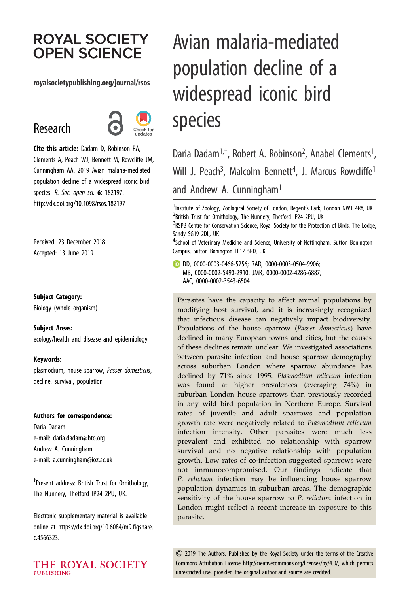# **ROYAL SOCIETY OPEN SCIENCE**

#### royalsocietypublishing.org/journal/rsos

# Research



Cite this article: Dadam D, Robinson RA, Clements A, Peach WJ, Bennett M, Rowcliffe JM, Cunningham AA. 2019 Avian malaria-mediated population decline of a widespread iconic bird species. R. Soc. open sci. 6: 182197. http://dx.doi.org/10.1098/rsos.182197

Received: 23 December 2018 Accepted: 13 June 2019

Subject Category: Biology (whole organism)

#### Subject Areas:

ecology/health and disease and epidemiology

#### Keywords:

plasmodium, house sparrow, Passer domesticus, decline, survival, population

#### Authors for correspondence:

Daria Dadam e-mail: [daria.dadam@bto.org](mailto:daria.dadam@bto.org) Andrew A. Cunningham e-mail: [a.cunningham@ioz.ac.uk](mailto:a.cunningham@ioz.ac.uk)

† Present address: British Trust for Ornithology, The Nunnery, Thetford IP24 2PU, UK.

Electronic supplementary material is available online at [https://dx.doi.org/10.6084/m9.figshare.](https://dx.doi.org/10.6084/m9.figshare.c.4566323) [c.4566323.](https://dx.doi.org/10.6084/m9.figshare.c.4566323)

THE ROYAL SOCIETY **PUBLISHING** 

# Avian malaria-mediated population decline of a widespread iconic bird species

Daria Dadam<sup>1,†</sup>, Robert A. Robinson<sup>2</sup>, Anabel Clements<sup>1</sup> , Will J. Peach<sup>3</sup>, Malcolm Bennett<sup>4</sup>, J. Marcus Rowcliffe<sup>1</sup> and Andrew A. Cunningham<sup>1</sup>

 $^1$ Institute of Zoology, Zoological Society of London, Regent's Park, London NW1 4RY, UK  $^2$ British Trust for Ornithology, The Nunnery, Thetford IP24 2PU, UK

 $^3$ RSPB Centre for Conservation Science, Royal Society for the Protection of Birds, The Lodge, Sandy SG19 2DL, UK

<sup>4</sup>School of Veterinary Medicine and Science, University of Nottingham, Sutton Bonington Campus, Sutton Bonington LE12 5RD, UK

DD, [0000-0003-0466-5256;](http://orcid.org/0000-0003-0466-5256) RAR, [0000-0003-0504-9906;](http://orcid.org/0000-0003-0504-9906) MB, [0000-0002-5490-2910](http://orcid.org/0000-0002-5490-2910); JMR, [0000-0002-4286-6887](http://orcid.org/0000-0002-4286-6887); AAC, [0000-0002-3543-6504](http://orcid.org/0000-0002-3543-6504)

Parasites have the capacity to affect animal populations by modifying host survival, and it is increasingly recognized that infectious disease can negatively impact biodiversity. Populations of the house sparrow (Passer domesticus) have declined in many European towns and cities, but the causes of these declines remain unclear. We investigated associations between parasite infection and house sparrow demography across suburban London where sparrow abundance has declined by 71% since 1995. Plasmodium relictum infection was found at higher prevalences (averaging 74%) in suburban London house sparrows than previously recorded in any wild bird population in Northern Europe. Survival rates of juvenile and adult sparrows and population growth rate were negatively related to Plasmodium relictum infection intensity. Other parasites were much less prevalent and exhibited no relationship with sparrow survival and no negative relationship with population growth. Low rates of co-infection suggested sparrows were not immunocompromised. Our findings indicate that P. relictum infection may be influencing house sparrow population dynamics in suburban areas. The demographic sensitivity of the house sparrow to P. relictum infection in London might reflect a recent increase in exposure to this parasite.

& 2019 The Authors. Published by the Royal Society under the terms of the Creative Commons Attribution License<http://creativecommons.org/licenses/by/4.0/>, which permits unrestricted use, provided the original author and source are credited.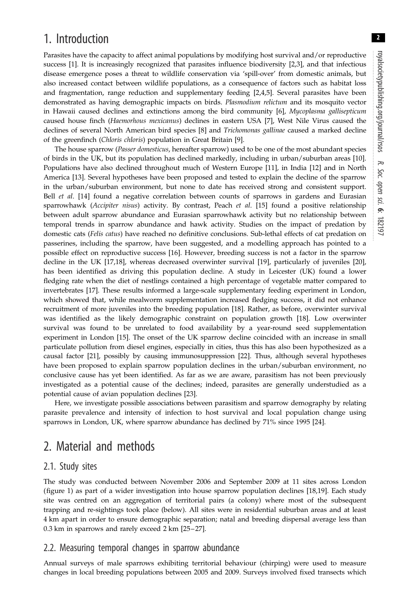2

# 1. Introduction

Parasites have the capacity to affect animal populations by modifying host survival and/or reproductive success [[1](#page-12-0)]. It is increasingly recognized that parasites influence biodiversity [[2](#page-12-0),[3](#page-12-0)], and that infectious disease emergence poses a threat to wildlife conservation via 'spill-over' from domestic animals, but also increased contact between wildlife populations, as a consequence of factors such as habitat loss and fragmentation, range reduction and supplementary feeding [[2](#page-12-0),[4,5\]](#page-12-0). Several parasites have been demonstrated as having demographic impacts on birds. Plasmodium relictum and its mosquito vector in Hawaii caused declines and extinctions among the bird community [[6](#page-12-0)], Mycoplasma gallisepticum caused house finch (Haemorhous mexicanus) declines in eastern USA [[7](#page-12-0)], West Nile Virus caused the declines of several North American bird species [[8](#page-12-0)] and *Trichomonas gallinae* caused a marked decline of the greenfinch (Chloris chloris) population in Great Britain [[9](#page-12-0)].

The house sparrow (Passer domesticus, hereafter sparrow) used to be one of the most abundant species of birds in the UK, but its population has declined markedly, including in urban/suburban areas [\[10](#page-12-0)]. Populations have also declined throughout much of Western Europe [[11\]](#page-12-0), in India [\[12](#page-12-0)] and in North America [[13\]](#page-12-0). Several hypotheses have been proposed and tested to explain the decline of the sparrow in the urban/suburban environment, but none to date has received strong and consistent support. Bell et al. [\[14](#page-12-0)] found a negative correlation between counts of sparrows in gardens and Eurasian sparrowhawk (Accipiter nisus) activity. By contrast, Peach et al. [[15\]](#page-12-0) found a positive relationship between adult sparrow abundance and Eurasian sparrowhawk activity but no relationship between temporal trends in sparrow abundance and hawk activity. Studies on the impact of predation by domestic cats (Felis catus) have reached no definitive conclusions. Sub-lethal effects of cat predation on passerines, including the sparrow, have been suggested, and a modelling approach has pointed to a possible effect on reproductive success [[16\]](#page-12-0). However, breeding success is not a factor in the sparrow decline in the UK [[17,18](#page-12-0)], whereas decreased overwinter survival [[19\]](#page-12-0), particularly of juveniles [\[20](#page-12-0)], has been identified as driving this population decline. A study in Leicester (UK) found a lower fledging rate when the diet of nestlings contained a high percentage of vegetable matter compared to invertebrates [[17\]](#page-12-0). These results informed a large-scale supplementary feeding experiment in London, which showed that, while mealworm supplementation increased fledging success, it did not enhance recruitment of more juveniles into the breeding population [[18\]](#page-12-0). Rather, as before, overwinter survival was identified as the likely demographic constraint on population growth [[18\]](#page-12-0). Low overwinter survival was found to be unrelated to food availability by a year-round seed supplementation experiment in London [[15\]](#page-12-0). The onset of the UK sparrow decline coincided with an increase in small particulate pollution from diesel engines, especially in cities, thus this has also been hypothesized as a causal factor [[21\]](#page-12-0), possibly by causing immunosuppression [\[22](#page-12-0)]. Thus, although several hypotheses have been proposed to explain sparrow population declines in the urban/suburban environment, no conclusive cause has yet been identified. As far as we are aware, parasitism has not been previously investigated as a potential cause of the declines; indeed, parasites are generally understudied as a potential cause of avian population declines [\[23](#page-12-0)].

Here, we investigate possible associations between parasitism and sparrow demography by relating parasite prevalence and intensity of infection to host survival and local population change using sparrows in London, UK, where sparrow abundance has declined by 71% since 1995 [[24\]](#page-12-0).

# 2. Material and methods

## 2.1. Study sites

The study was conducted between November 2006 and September 2009 at 11 sites across London [\(figure 1](#page-2-0)) as part of a wider investigation into house sparrow population declines [\[18](#page-12-0),[19\]](#page-12-0). Each study site was centred on an aggregation of territorial pairs (a colony) where most of the subsequent trapping and re-sightings took place (below). All sites were in residential suburban areas and at least 4 km apart in order to ensure demographic separation; natal and breeding dispersal average less than 0.3 km in sparrows and rarely exceed 2 km [\[25](#page-12-0)–27].

## 2.2. Measuring temporal changes in sparrow abundance

Annual surveys of male sparrows exhibiting territorial behaviour (chirping) were used to measure changes in local breeding populations between 2005 and 2009. Surveys involved fixed transects which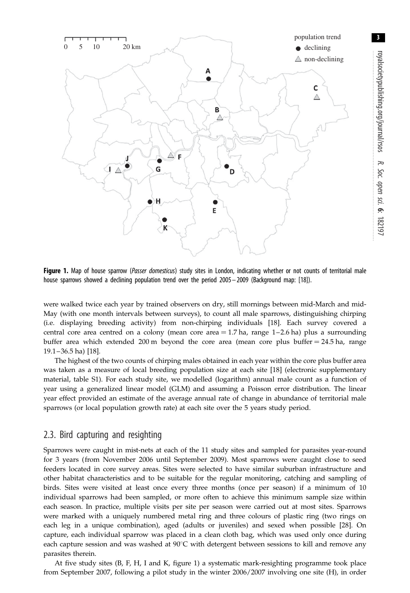<span id="page-2-0"></span>

**Figure 1.** Map of house sparrow (Passer domesticus) study sites in London, indicating whether or not counts of territorial male house sparrows showed a declining population trend over the period 2005– 2009 (Background map: [[18](#page-12-0)]).

were walked twice each year by trained observers on dry, still mornings between mid-March and mid-May (with one month intervals between surveys), to count all male sparrows, distinguishing chirping (i.e. displaying breeding activity) from non-chirping individuals [\[18](#page-12-0)]. Each survey covered a central core area centred on a colony (mean core area  $= 1.7$  ha, range  $1-2.6$  ha) plus a surrounding buffer area which extended  $200 \text{ m}$  beyond the core area (mean core plus buffer  $= 24.5 \text{ ha}$ , range 19.1–36.5 ha) [[18\]](#page-12-0).

The highest of the two counts of chirping males obtained in each year within the core plus buffer area was taken as a measure of local breeding population size at each site [\[18](#page-12-0)] (electronic supplementary material, table S1). For each study site, we modelled (logarithm) annual male count as a function of year using a generalized linear model (GLM) and assuming a Poisson error distribution. The linear year effect provided an estimate of the average annual rate of change in abundance of territorial male sparrows (or local population growth rate) at each site over the 5 years study period.

## 2.3. Bird capturing and resighting

Sparrows were caught in mist-nets at each of the 11 study sites and sampled for parasites year-round for 3 years (from November 2006 until September 2009). Most sparrows were caught close to seed feeders located in core survey areas. Sites were selected to have similar suburban infrastructure and other habitat characteristics and to be suitable for the regular monitoring, catching and sampling of birds. Sites were visited at least once every three months (once per season) if a minimum of 10 individual sparrows had been sampled, or more often to achieve this minimum sample size within each season. In practice, multiple visits per site per season were carried out at most sites. Sparrows were marked with a uniquely numbered metal ring and three colours of plastic ring (two rings on each leg in a unique combination), aged (adults or juveniles) and sexed when possible [\[28](#page-12-0)]. On capture, each individual sparrow was placed in a clean cloth bag, which was used only once during each capture session and was washed at  $90^{\circ}$ C with detergent between sessions to kill and remove any parasites therein.

At five study sites (B, F, H, I and K, figure 1) a systematic mark-resighting programme took place from September 2007, following a pilot study in the winter 2006/2007 involving one site (H), in order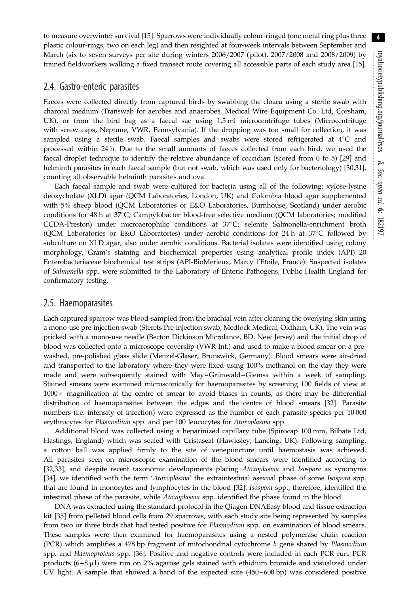to measure overwinter survival [\[15](#page-12-0)]. Sparrows were individually colour-ringed (one metal ring plus three plastic colour-rings, two on each leg) and then resighted at four-week intervals between September and March (six to seven surveys per site during winters 2006/2007 (pilot), 2007/2008 and 2008/2009) by trained fieldworkers walking a fixed transect route covering all accessible parts of each study area [\[15](#page-12-0)].

#### 2.4. Gastro-enteric parasites

Faeces were collected directly from captured birds by swabbing the cloaca using a sterile swab with charcoal medium (Transwab for aerobes and anaerobes, Medical Wire Equipment Co. Ltd, Corsham, UK), or from the bird bag as a faecal sac using 1.5 ml microcentrifuge tubes (Microcentrifuge with screw caps, Neptune, VWR, Pennsylvania). If the dropping was too small for collection, it was sampled using a sterile swab. Faecal samples and swabs were stored refrigerated at  $4^{\circ}C$  and processed within 24 h. Due to the small amounts of faeces collected from each bird, we used the faecal droplet technique to identify the relative abundance of coccidian (scored from 0 to 5) [[29\]](#page-12-0) and helminth parasites in each faecal sample (but not swab, which was used only for bacteriology) [\[30,31](#page-12-0)], counting all observable helminth parasites and ova.

Each faecal sample and swab were cultured for bacteria using all of the following: xylose-lysine deoxycholate (XLD) agar (QCM Laboratories, London, UK) and Colombia blood agar supplemented with 5% sheep blood (QCM Laboratories or E&O Laboratories, Burnhouse, Scotland) under aerobic conditions for 48 h at  $37^{\circ}$ C; Campylobacter blood-free selective medium (QCM laboratories; modified CCDA-Preston) under microaerophilic conditions at 37°C; selenite Salmonella-enrichment broth (QCM Laboratories or E&O Laboratories) under aerobic conditions for 24 h at  $37^{\circ}$ C followed by subculture on XLD agar, also under aerobic conditions. Bacterial isolates were identified using colony morphology, Gram's staining and biochemical properties using analytical profile index (API) 20 Enterobacteriaceae biochemical test strips (API-BioMerieux, Marcy l'Etoile, France). Suspected isolates of Salmonella spp. were submitted to the Laboratory of Enteric Pathogens, Public Health England for confirmatory testing.

#### 2.5. Haemoparasites

Each captured sparrow was blood-sampled from the brachial vein after cleaning the overlying skin using a mono-use pre-injection swab (Sterets Pre-injection swab, Medlock Medical, Oldham, UK). The vein was pricked with a mono-use needle (Becton Dickinson Microlance, BD, New Jersey) and the initial drop of blood was collected onto a microscope coverslip (VWR Int.) and used to make a blood smear on a prewashed, pre-polished glass slide (Menzel-Glaser, Brunswick, Germany). Blood smears were air-dried and transported to the laboratory where they were fixed using 100% methanol on the day they were made and were subsequently stained with May–Grünwald–Giemsa within a week of sampling. Stained smears were examined microscopically for haemoparasites by screening 100 fields of view at  $1000\times$  magnification at the centre of smear to avoid biases in counts, as there may be differential distribution of haemoparasites between the edges and the centre of blood smears [\[32](#page-12-0)]. Parasite numbers (i.e. intensity of infection) were expressed as the number of each parasite species per 10 000 erythrocytes for Plasmodium spp. and per 100 leucocytes for Atoxoplasma spp.

Additional blood was collected using a heparinized capillary tube (Spirocap 100 mm, Bilbate Ltd, Hastings, England) which was sealed with Cristaseal (Hawksley, Lancing, UK). Following sampling, a cotton ball was applied firmly to the site of venepuncture until haemostasis was achieved. All parasites seen on microscopic examination of the blood smears were identified according to [\[32](#page-12-0),[33\]](#page-12-0), and despite recent taxonomic developments placing Atoxoplasma and Isospora as synonyms [\[34](#page-12-0)], we identified with the term 'Atoxoplasma' the extraintestinal asexual phase of some Isospora spp. that are found in monocytes and lymphocytes in the blood [\[32](#page-12-0)]. Isospora spp., therefore, identified the intestinal phase of the parasite, while Atoxoplasma spp. identified the phase found in the blood.

DNA was extracted using the standard protocol in the Qiagen DNAEasy blood and tissue extraction kit [\[35](#page-12-0)] from pelleted blood cells from 29 sparrows, with each study site being represented by samples from two or three birds that had tested positive for *Plasmodium* spp. on examination of blood smears. These samples were then examined for haemoparasites using a nested polymerase chain reaction (PCR) which amplifies a 478 bp fragment of mitochondrial cytochrome  $b$  gene shared by Plasmodium spp. and Haemoproteus spp. [[36\]](#page-12-0). Positive and negative controls were included in each PCR run. PCR products  $(6-8 \mu l)$  were run on 2% agarose gels stained with ethidium bromide and visualized under UV light. A sample that showed a band of the expected size (450–600 bp) was considered positive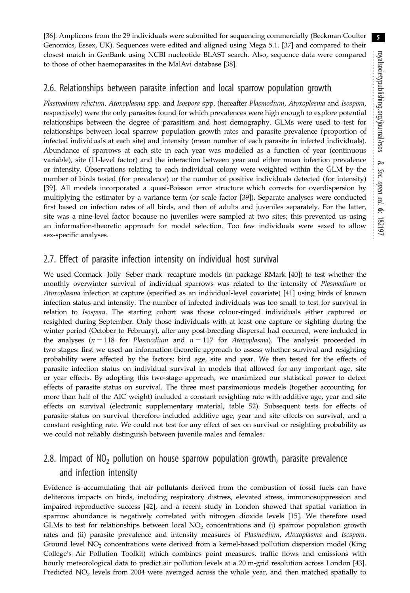[\[36](#page-12-0)]. Amplicons from the 29 individuals were submitted for sequencing commercially (Beckman Coulter Genomics, Essex, UK). Sequences were edited and aligned using Mega 5.1. [[37\]](#page-12-0) and compared to their closest match in GenBank using NCBI nucleotide BLAST search. Also, sequence data were compared to those of other haemoparasites in the MalAvi database [[38\]](#page-12-0).

## 2.6. Relationships between parasite infection and local sparrow population growth

Plasmodium relictum, Atoxoplasma spp. and Isospora spp. (hereafter Plasmodium, Atoxoplasma and Isospora, respectively) were the only parasites found for which prevalences were high enough to explore potential relationships between the degree of parasitism and host demography. GLMs were used to test for relationships between local sparrow population growth rates and parasite prevalence (proportion of infected individuals at each site) and intensity (mean number of each parasite in infected individuals). Abundance of sparrows at each site in each year was modelled as a function of year (continuous variable), site (11-level factor) and the interaction between year and either mean infection prevalence or intensity. Observations relating to each individual colony were weighted within the GLM by the number of birds tested (for prevalence) or the number of positive individuals detected (for intensity) [\[39](#page-13-0)]. All models incorporated a quasi-Poisson error structure which corrects for overdispersion by multiplying the estimator by a variance term (or scale factor [\[39](#page-13-0)]). Separate analyses were conducted first based on infection rates of all birds, and then of adults and juveniles separately. For the latter, site was a nine-level factor because no juveniles were sampled at two sites; this prevented us using an information-theoretic approach for model selection. Too few individuals were sexed to allow sex-specific analyses.

## 2.7. Effect of parasite infection intensity on individual host survival

We used Cormack – Jolly –Seber mark – recapture models (in package RMark [\[40](#page-13-0)]) to test whether the monthly overwinter survival of individual sparrows was related to the intensity of Plasmodium or Atoxoplasma infection at capture (specified as an individual-level covariate) [[41\]](#page-13-0) using birds of known infection status and intensity. The number of infected individuals was too small to test for survival in relation to Isospora. The starting cohort was those colour-ringed individuals either captured or resighted during September. Only those individuals with at least one capture or sighting during the winter period (October to February), after any post-breeding dispersal had occurred, were included in the analyses ( $n = 118$  for Plasmodium and  $n = 117$  for Atoxoplasma). The analysis proceeded in two stages: first we used an information-theoretic approach to assess whether survival and resighting probability were affected by the factors: bird age, site and year. We then tested for the effects of parasite infection status on individual survival in models that allowed for any important age, site or year effects. By adopting this two-stage approach, we maximized our statistical power to detect effects of parasite status on survival. The three most parsimonious models (together accounting for more than half of the AIC weight) included a constant resighting rate with additive age, year and site effects on survival (electronic supplementary material, table S2). Subsequent tests for effects of parasite status on survival therefore included additive age, year and site effects on survival, and a constant resighting rate. We could not test for any effect of sex on survival or resighting probability as we could not reliably distinguish between juvenile males and females.

## 2.8. Impact of  $NO<sub>2</sub>$  pollution on house sparrow population growth, parasite prevalence and infection intensity

Evidence is accumulating that air pollutants derived from the combustion of fossil fuels can have deliterous impacts on birds, including respiratory distress, elevated stress, immunosuppression and impaired reproductive success [[42\]](#page-13-0), and a recent study in London showed that spatial variation in sparrow abundance is negatively correlated with nitrogen dioxide levels [[15](#page-12-0)]. We therefore used GLMs to test for relationships between local  $NO<sub>2</sub>$  concentrations and (i) sparrow population growth rates and (ii) parasite prevalence and intensity measures of Plasmodium, Atoxoplasma and Isospora. Ground level  $NO<sub>2</sub>$  concentrations were derived from a kernel-based pollution dispersion model (King College's Air Pollution Toolkit) which combines point measures, traffic flows and emissions with hourly meteorological data to predict air pollution levels at a 20 m-grid resolution across London [\[43](#page-13-0)]. Predicted  $NO<sub>2</sub>$  levels from 2004 were averaged across the whole year, and then matched spatially to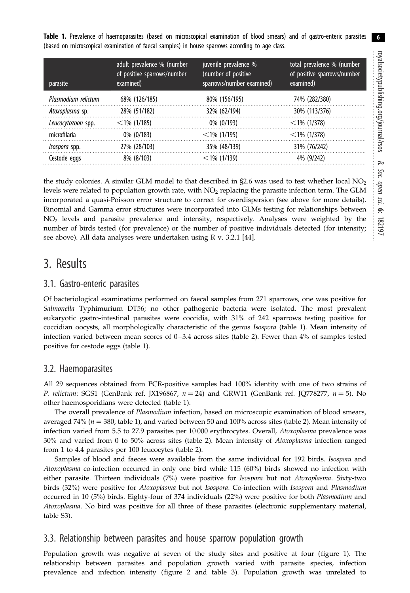Table 1. Prevalence of haemoparasites (based on microscopical examination of blood smears) and of gastro-enteric parasites (based on microscopical examination of faecal samples) in house sparrows according to age class.

| parasite             | adult prevalence % (number<br>of positive sparrows/number<br>examined) | juvenile prevalence %<br>(number of positive<br>sparrows/number examined) | total prevalence % (number<br>of positive sparrows/number<br>examined) |
|----------------------|------------------------------------------------------------------------|---------------------------------------------------------------------------|------------------------------------------------------------------------|
| Plasmodium relictum  | 68% (126/185)                                                          | 80% (156/195)                                                             | 74% (282/380)                                                          |
| Atoxoplasma sp.      | 28% (51/182)                                                           | 32% (62/194)                                                              | 30% (113/376)                                                          |
| Leucocytozoon spp.   | $<$ 1% (1/185)                                                         | $0\%$ (0/193)                                                             | $<$ 1% (1/378)                                                         |
| microfilaria         | $0\%$ (0/183)                                                          | $<$ 1% (1/195)                                                            | $<$ 1% (1/378)                                                         |
| <i>Isospora</i> spp. | 27% (28/103)                                                           | 35% (48/139)                                                              | 31% (76/242)                                                           |
| Cestode eggs         | 8% (8/103)                                                             | $<$ 1% (1/139)                                                            | 4% (9/242)                                                             |

the study colonies. A similar GLM model to that described in  $\S 2.6$  was used to test whether local  $NO<sub>2</sub>$ levels were related to population growth rate, with  $NO<sub>2</sub>$  replacing the parasite infection term. The GLM incorporated a quasi-Poisson error structure to correct for overdispersion (see above for more details). Binomial and Gamma error structures were incorporated into GLMs testing for relationships between NO<sub>2</sub> levels and parasite prevalence and intensity, respectively. Analyses were weighted by the number of birds tested (for prevalence) or the number of positive individuals detected (for intensity; see above). All data analyses were undertaken using R v. 3.2.1 [\[44](#page-13-0)].

# 3. Results

#### 3.1. Gastro-enteric parasites

Of bacteriological examinations performed on faecal samples from 271 sparrows, one was positive for Salmonella Typhimurium DT56; no other pathogenic bacteria were isolated. The most prevalent eukaryotic gastro-intestinal parasites were coccidia, with 31% of 242 sparrows testing positive for coccidian oocysts, all morphologically characteristic of the genus Isospora (table 1). Mean intensity of infection varied between mean scores of 0–3.4 across sites ([table 2\)](#page-6-0). Fewer than 4% of samples tested positive for cestode eggs (table 1).

## 3.2. Haemoparasites

All 29 sequences obtained from PCR-positive samples had 100% identity with one of two strains of P. relictum: SGS1 (GenBank ref. JX196867,  $n = 24$ ) and GRW11 (GenBank ref. JQ778277,  $n = 5$ ). No other haemosporidians were detected (table 1).

The overall prevalence of Plasmodium infection, based on microscopic examination of blood smears, averaged 74% ( $n = 380$ , table 1), and varied between 50 and 100% across sites [\(table 2](#page-6-0)). Mean intensity of infection varied from 5.5 to 27.9 parasites per 10 000 erythrocytes. Overall, Atoxoplasma prevalence was 30% and varied from 0 to 50% across sites [\(table 2\)](#page-6-0). Mean intensity of Atoxoplasma infection ranged from 1 to 4.4 parasites per 100 leucocytes ([table 2](#page-6-0)).

Samples of blood and faeces were available from the same individual for 192 birds. Isospora and Atoxoplasma co-infection occurred in only one bird while 115 (60%) birds showed no infection with either parasite. Thirteen individuals (7%) were positive for Isospora but not Atoxoplasma. Sixty-two birds (32%) were positive for Atoxoplasma but not Isospora. Co-infection with Isospora and Plasmodium occurred in 10 (5%) birds. Eighty-four of 374 individuals (22%) were positive for both Plasmodium and Atoxoplasma. No bird was positive for all three of these parasites (electronic supplementary material, table S3).

## 3.3. Relationship between parasites and house sparrow population growth

Population growth was negative at seven of the study sites and positive at four [\(figure 1](#page-2-0)). The relationship between parasites and population growth varied with parasite species, infection prevalence and infection intensity [\(figure 2](#page-7-0) and [table 3](#page-7-0)). Population growth was unrelated to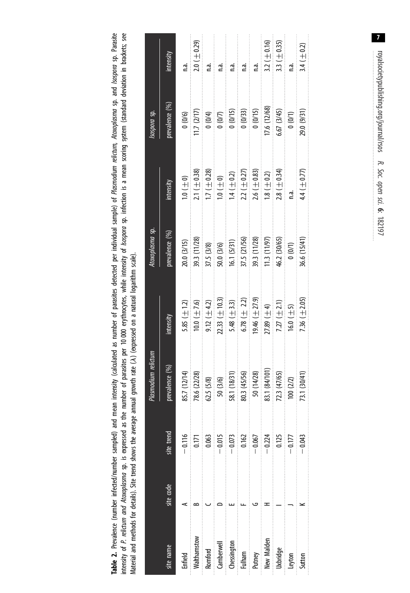<span id="page-6-0"></span>Table 2. Prevalence (number infected/number sampled) and mean intensity (calculated as number of parasites detected per individual sample) of Plasmodium relictum, Atoxoplosma sp. and Isospora sp. Parasite intensity of P. relictum and Atoxoplosma sp. is expressed as the number of parasites per 10 000 erythrocytes, while intensity of Isospora sp. infection is a mean scoring system (standard deviation in brackets; see Table 2. Prevalence (number sampled) and mean intensity (calculated as number of parasites detected per individual sample) of Plasmodium relictum, Atoxoplasma sp. and Isospora sp. Parasite intensity of P. relictum and Atoxoplasma sp. is expressed as the number of parasites per 10 000 erythrocytes, while intensity of Isospora sp. infection is a mean scoring system (standard deviation in brackets; see Material and methods for details). Site trend shows the average annual growth rate ( $\lambda$ ) (expressed on a natural logarithm scale). Material and methods for details). Site trend shows the average annual growth rate (l) (expressed on a natural logarithm scale).

|                                      |           |                    | tium relictum<br>asmoa        |                        | Atoxoplasma sp.           |                                       | sospora sp.                                                          |                                                                     |
|--------------------------------------|-----------|--------------------|-------------------------------|------------------------|---------------------------|---------------------------------------|----------------------------------------------------------------------|---------------------------------------------------------------------|
| site name                            | site code | site trend         | prevalence (%)                | intensity              | prevalence (%)            | intensity                             | revalence (%)                                                        | intensity                                                           |
| Enfield                              |           | $-0.116$           |                               | 5.85 $(\pm 1.2)$       | 20.0 (3/15)               | $1.0 \pm 0$                           | 0(0/6)                                                               | n.a.                                                                |
| Walthamstow                          |           | $\frac{17}{0.063}$ | 85.7 (12/14)<br>78.6 (22/28)  | $10.0~(\pm 7.6)$       | 39.3 (11/28)              | $2.1 (\pm 0.38)$                      | 11.7 (2/17)                                                          | $2.0~(\pm 0.29)$                                                    |
|                                      |           |                    |                               | $9.12 \; (\pm 4.2)$    | 37.5 (3/8)                | $1.7 (\pm 0.28)$                      |                                                                      | n.a.                                                                |
| Romford<br>Camberwell<br>Chessington |           |                    | 62.5 (5/8)<br>50 (3/6)        | $2.33 \ (\pm 10.3)$    | 50.0 (3/6)<br>16.1 (5/31) |                                       | $\begin{pmatrix} 0 & 0 & 4 \\ 0 & 0 & 7 \\ 0 & 0 & 15 \end{pmatrix}$ | n.a.                                                                |
|                                      |           | $-0.073$           |                               | $5.48 (\pm 3.3)$       |                           | $1.0 \; (\pm 0)$<br>1.4 ( $\pm 0.2$ ) |                                                                      | n.a.                                                                |
|                                      |           | $0.162 - 0.067$    | 58.1 (18/31)<br>80.3 (45/56)  | $6.78 \; (\pm \; 2.2)$ | 37.5 (21/56)              | $2.2~(\pm 0.27)$                      | $\begin{array}{c} 0 & (0/33) \\ 0 & (0/15) \end{array}$              | n.a.                                                                |
| Fulham<br>Putney                     |           |                    | 50 (14/28)                    | $19.46 (\pm 27.9)$     | 39.3 (11/28)              | $2.6 (\pm 0.83)$                      |                                                                      | n.a.                                                                |
|                                      |           | $-0.224$           |                               | $27.89 (\pm 4)$        | 11.3 (11/97)              | $1.8~(\pm 0.2)$                       | 17.6 (12/68)                                                         |                                                                     |
| New Malden<br>Uxbridge               |           | 0.125              | 83.1 (84/101)<br>72.3 (47/65) | 7.27 $(\pm 2.1)$       | 46.2 (30/65)              | $2.8 (\pm 0.34)$                      | 6.67 (3/45)                                                          | $\begin{array}{c} 3.2 \ (\pm 0.16) \\ 3.3 \ (\pm 0.35) \end{array}$ |
| Leyton                               |           | $-0.177$           | 100(2/2)                      | $16.0 (\pm 5)$         | 0(0/1)                    | n.a.                                  | (0000                                                                | n.a.                                                                |
| iutton                               |           | $-0.043$           | 73.1 (30/41                   | 7.36 ( $\pm$ 2.05)     | 36.6 (15/41               | $4.4 (\pm 0.77)$                      | 29.0 (9/31)                                                          | 3.4 ( $\pm$ 0.2)                                                    |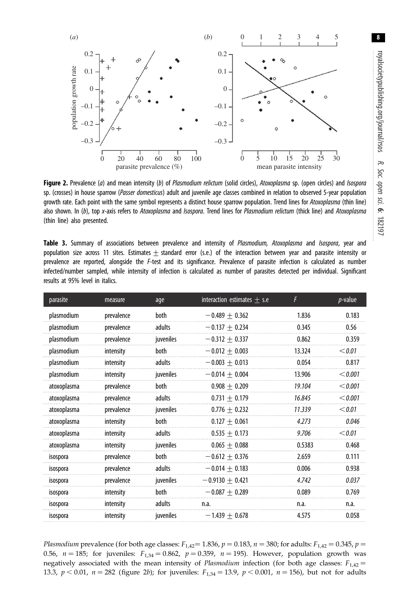<span id="page-7-0"></span>

Figure 2. Prevalence (a) and mean intensity (b) of Plasmodium relictum (solid circles), Atoxoplasma sp. (open circles) and Isospora sp. (crosses) in house sparrow (Passer domesticus) adult and juvenile age classes combined in relation to observed 5-year population growth rate. Each point with the same symbol represents a distinct house sparrow population. Trend lines for Atoxoplasma (thin line) also shown. In (b), top x-axis refers to Atoxoplasma and Isospora. Trend lines for Plasmodium relictum (thick line) and Atoxoplasma (thin line) also presented.

Table 3. Summary of associations between prevalence and intensity of Plasmodium, Atoxoplasma and Isospora, year and population size across 11 sites. Estimates  $\pm$  standard error (s.e.) of the interaction between year and parasite intensity or prevalence are reported, alongside the F-test and its significance. Prevalence of parasite infection is calculated as number infected/number sampled, while intensity of infection is calculated as number of parasites detected per individual. Significant results at 95% level in italics.

| plasmodium<br>prevalence<br>both<br>$-0.489 + 0.362$<br>1.836<br>0.183<br>plasmodium<br>adults<br>0.345<br>0.56<br>prevalence<br>$-0.137 + 0.234$<br>plasmodium<br>0.862<br>0.359<br>prevalence<br>juveniles<br>$-0.312 + 0.337$<br>plasmodium<br>13.324<br>< 0.01<br>intensity<br><b>both</b><br>$-0.012 + 0.003$<br>plasmodium<br>$-0.003 + 0.013$<br>0.054<br>adults<br>0.817<br>intensity<br>13.906<br>plasmodium<br>juveniles<br>$-0.014 + 0.004$<br>< 0.001<br>intensity<br>both<br>atoxoplasma<br>$0.908 + 0.209$<br>19.104<br>< 0.001<br>prevalence<br>atoxoplasma<br>prevalence<br>adults<br>$0.731 + 0.179$<br>16.845<br>< 0.001<br>< 0.01<br>atoxoplasma<br>prevalence<br>juveniles<br>$0.776 + 0.232$<br>11.339<br>atoxoplasma<br>0.046<br>intensity<br>both<br>$0.127 + 0.061$<br>4.273<br>< 0.01<br>atoxoplasma<br>intensity<br>adults<br>$0.535 + 0.173$<br>9.706<br>atoxoplasma<br>juveniles<br>$0.065 + 0.088$<br>intensity<br>0.5383<br>0.468<br><b>both</b><br>$-0.612 + 0.376$<br>2.659<br>prevalence<br>0.111<br>isospora<br>prevalence<br>adults<br>$-0.014 + 0.183$<br>0.006<br>0.938<br>isospora<br>0.037<br>prevalence<br>juveniles<br>$-0.9130 + 0.421$<br>4.742<br>isospora | parasite | measure | age | interaction estimates $\pm$ s.e | F | $p$ -value |
|--------------------------------------------------------------------------------------------------------------------------------------------------------------------------------------------------------------------------------------------------------------------------------------------------------------------------------------------------------------------------------------------------------------------------------------------------------------------------------------------------------------------------------------------------------------------------------------------------------------------------------------------------------------------------------------------------------------------------------------------------------------------------------------------------------------------------------------------------------------------------------------------------------------------------------------------------------------------------------------------------------------------------------------------------------------------------------------------------------------------------------------------------------------------------------------------------------|----------|---------|-----|---------------------------------|---|------------|
|                                                                                                                                                                                                                                                                                                                                                                                                                                                                                                                                                                                                                                                                                                                                                                                                                                                                                                                                                                                                                                                                                                                                                                                                        |          |         |     |                                 |   |            |
|                                                                                                                                                                                                                                                                                                                                                                                                                                                                                                                                                                                                                                                                                                                                                                                                                                                                                                                                                                                                                                                                                                                                                                                                        |          |         |     |                                 |   |            |
|                                                                                                                                                                                                                                                                                                                                                                                                                                                                                                                                                                                                                                                                                                                                                                                                                                                                                                                                                                                                                                                                                                                                                                                                        |          |         |     |                                 |   |            |
|                                                                                                                                                                                                                                                                                                                                                                                                                                                                                                                                                                                                                                                                                                                                                                                                                                                                                                                                                                                                                                                                                                                                                                                                        |          |         |     |                                 |   |            |
|                                                                                                                                                                                                                                                                                                                                                                                                                                                                                                                                                                                                                                                                                                                                                                                                                                                                                                                                                                                                                                                                                                                                                                                                        |          |         |     |                                 |   |            |
|                                                                                                                                                                                                                                                                                                                                                                                                                                                                                                                                                                                                                                                                                                                                                                                                                                                                                                                                                                                                                                                                                                                                                                                                        |          |         |     |                                 |   |            |
|                                                                                                                                                                                                                                                                                                                                                                                                                                                                                                                                                                                                                                                                                                                                                                                                                                                                                                                                                                                                                                                                                                                                                                                                        |          |         |     |                                 |   |            |
|                                                                                                                                                                                                                                                                                                                                                                                                                                                                                                                                                                                                                                                                                                                                                                                                                                                                                                                                                                                                                                                                                                                                                                                                        |          |         |     |                                 |   |            |
|                                                                                                                                                                                                                                                                                                                                                                                                                                                                                                                                                                                                                                                                                                                                                                                                                                                                                                                                                                                                                                                                                                                                                                                                        |          |         |     |                                 |   |            |
|                                                                                                                                                                                                                                                                                                                                                                                                                                                                                                                                                                                                                                                                                                                                                                                                                                                                                                                                                                                                                                                                                                                                                                                                        |          |         |     |                                 |   |            |
|                                                                                                                                                                                                                                                                                                                                                                                                                                                                                                                                                                                                                                                                                                                                                                                                                                                                                                                                                                                                                                                                                                                                                                                                        |          |         |     |                                 |   |            |
|                                                                                                                                                                                                                                                                                                                                                                                                                                                                                                                                                                                                                                                                                                                                                                                                                                                                                                                                                                                                                                                                                                                                                                                                        |          |         |     |                                 |   |            |
|                                                                                                                                                                                                                                                                                                                                                                                                                                                                                                                                                                                                                                                                                                                                                                                                                                                                                                                                                                                                                                                                                                                                                                                                        |          |         |     |                                 |   |            |
|                                                                                                                                                                                                                                                                                                                                                                                                                                                                                                                                                                                                                                                                                                                                                                                                                                                                                                                                                                                                                                                                                                                                                                                                        |          |         |     |                                 |   |            |
|                                                                                                                                                                                                                                                                                                                                                                                                                                                                                                                                                                                                                                                                                                                                                                                                                                                                                                                                                                                                                                                                                                                                                                                                        |          |         |     |                                 |   |            |
| 0.089<br>0.769<br>hoth.<br>$-0.087 + 0.289$<br>intensity<br>isospora                                                                                                                                                                                                                                                                                                                                                                                                                                                                                                                                                                                                                                                                                                                                                                                                                                                                                                                                                                                                                                                                                                                                   |          |         |     |                                 |   |            |
| adults<br>intensity<br>isospora<br>n.a.<br>n.a.<br>n.a.                                                                                                                                                                                                                                                                                                                                                                                                                                                                                                                                                                                                                                                                                                                                                                                                                                                                                                                                                                                                                                                                                                                                                |          |         |     |                                 |   |            |
| juveniles<br>0.058<br>intensity<br>$-1.439 + 0.678$<br>4.575<br>isospora                                                                                                                                                                                                                                                                                                                                                                                                                                                                                                                                                                                                                                                                                                                                                                                                                                                                                                                                                                                                                                                                                                                               |          |         |     |                                 |   |            |

*Plasmodium* prevalence (for both age classes:  $F_{1,42} = 1.836$ ,  $p = 0.183$ ,  $n = 380$ ; for adults:  $F_{1,42} = 0.345$ ,  $p = 0.183$ ,  $p = 0.183$ ,  $n = 380$ ; for adults:  $F_{1,42} = 0.345$ ,  $p = 0.183$ ,  $p = 0.183$ ,  $n = 380$ ; for ad 0.56,  $n = 185$ ; for juveniles:  $F_{1,34} = 0.862$ ,  $p = 0.359$ ,  $n = 195$ ). However, population growth was negatively associated with the mean intensity of *Plasmodium* infection (for both age classes:  $F_{1,42}$  = 13.3,  $p < 0.01$ ,  $n = 282$  (figure 2b); for juveniles:  $F_{1,34} = 13.9$ ,  $p < 0.001$ ,  $n = 156$ ), but not for adults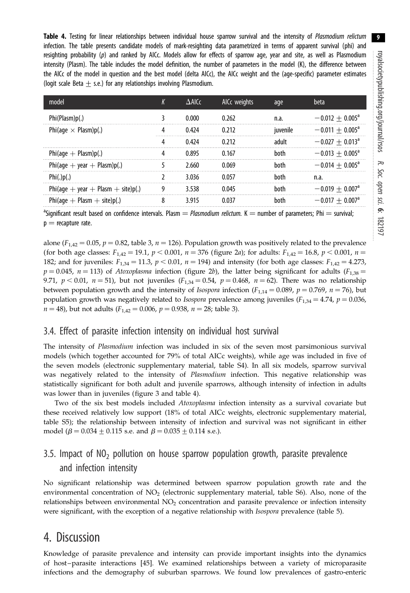Table 4. Testing for linear relationships between individual house sparrow survival and the intensity of Plasmodium relictum infection. The table presents candidate models of mark-resighting data parametrized in terms of apparent survival (phi) and resighting probability (p) and ranked by AICc. Models allow for effects of sparrow age, year and site, as well as Plasmodium intensity (Plasm). The table includes the model definition, the number of parameters in the model (K), the difference between the AICc of the model in question and the best model (delta AICc), the AICc weight and the (age-specific) parameter estimates (logit scale Beta  $\pm$  s.e.) for any relationships involving Plasmodium.

| model                              | K | $\Delta$ AlCc | AICc weights | age      | beta                          |
|------------------------------------|---|---------------|--------------|----------|-------------------------------|
| Phi(Plasm)p(.)                     | 3 | 0.000         | 0.262        | n.a.     | $-0.012 + 0.005^{\circ}$      |
| Phi(age $\times$ Plasm)p(.)        | 4 | 0.424         | 0.212        | iuvenile | $-0.011 + 0.005^{\circ}$      |
|                                    | 4 | 0.424         | 0.212        | adult    | $-0.027 + 0.013^{\circ}$      |
| $Phi +$ Phi(age + Plasm)p(.)       | 4 | 0.895         | 0.167        | hoth     | $-0.013 + 0.005$ <sup>a</sup> |
| $Phi + year + $ Plasm $p(.)$       |   | 2.660         | 0.069        | hoth     | $-0.014 + 0.005$ <sup>a</sup> |
| Phi(.)p(.)                         |   | 3.036         | 0.057        | both     | n.a.                          |
| Phi(age + year + Plasm + site)p(.) | 9 | 3.538         | 0.045        | hoth     | $-0.019 + 0.007$ <sup>d</sup> |
| $Phi +$ Plasm $+$ site)p(.)        | 8 | 3.915         | 0.037        | hoth     | $-0.017 + 0.007$ <sup>a</sup> |

<sup>a</sup>Significant result based on confidence intervals. Plasm  $=$  *Plasmodium relictum*. K  $=$  number of parameters; Phi  $=$  survival;  $p =$  recapture rate.

alone ( $F_{1,42} = 0.05$ ,  $p = 0.82$ , [table 3](#page-7-0),  $n = 126$ ). Population growth was positively related to the prevalence (for both age classes:  $F_{1,42} = 19.1$ ,  $p < 0.001$ ,  $n = 376$  ([figure 2](#page-7-0)a); for adults:  $F_{1,42} = 16.8$ ,  $p < 0.001$ ,  $n =$ 182; and for juveniles:  $F_{1,34} = 11.3$ ,  $p < 0.01$ ,  $n = 194$ ) and intensity (for both age classes:  $F_{1,42} = 4.273$ ,  $p = 0.045$ ,  $n = 113$ ) of Atoxoplasma infection [\(figure 2](#page-7-0)b), the latter being significant for adults ( $F_{1,38} =$ 9.71,  $p < 0.01$ ,  $n = 51$ ), but not juveniles  $(F_{1,34} = 0.54, p = 0.468, n = 62)$ . There was no relationship between population growth and the intensity of *Isospora* infection ( $F_{1,14} = 0.089$ ,  $p = 0.769$ ,  $n = 76$ ), but population growth was negatively related to *Isospora* prevalence among juveniles ( $F_{1,34} = 4.74$ ,  $p = 0.036$ ,  $n = 48$ ), but not adults ( $F_{1,42} = 0.006$ ,  $p = 0.938$ ,  $n = 28$ ; [table 3\)](#page-7-0).

#### 3.4. Effect of parasite infection intensity on individual host survival

The intensity of Plasmodium infection was included in six of the seven most parsimonious survival models (which together accounted for 79% of total AICc weights), while age was included in five of the seven models (electronic supplementary material, table S4). In all six models, sparrow survival was negatively related to the intensity of Plasmodium infection. This negative relationship was statistically significant for both adult and juvenile sparrows, although intensity of infection in adults was lower than in juveniles [\(figure 3](#page-9-0) and table 4).

Two of the six best models included Atoxoplasma infection intensity as a survival covariate but these received relatively low support (18% of total AICc weights, electronic supplementary material, table S5); the relationship between intensity of infection and survival was not significant in either model ( $\beta$  = 0.034  $\pm$  0.115 s.e. and  $\beta$  = 0.035  $\pm$  0.114 s.e.).

## 3.5. Impact of  $NO<sub>2</sub>$  pollution on house sparrow population growth, parasite prevalence and infection intensity

No significant relationship was determined between sparrow population growth rate and the environmental concentration of NO<sub>2</sub> (electronic supplementary material, table S6). Also, none of the relationships between environmental  $NO<sub>2</sub>$  concentration and parasite prevalence or infection intensity were significant, with the exception of a negative relationship with *Isospora* prevalence [\(table 5\)](#page-9-0).

# 4. Discussion

Knowledge of parasite prevalence and intensity can provide important insights into the dynamics of host –parasite interactions [[45\]](#page-13-0). We examined relationships between a variety of microparasite infections and the demography of suburban sparrows. We found low prevalences of gastro-enteric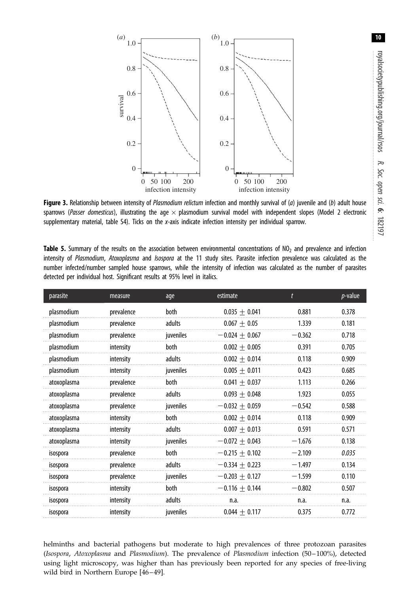<span id="page-9-0"></span>

Figure 3. Relationship between intensity of Plasmodium relictum infection and monthly survival of  $(a)$  juvenile and  $(b)$  adult house sparrows (Passer domesticus), illustrating the age  $\times$  plasmodium survival model with independent slopes (Model 2 electronic supplementary material, table S4). Ticks on the x-axis indicate infection intensity per individual sparrow.

| parasite    | measure    | age         | estimate           | t        | <i>p</i> -value |
|-------------|------------|-------------|--------------------|----------|-----------------|
| plasmodium  | prevalence | both        | $0.035 + 0.041$    | 0.881    | 0.378           |
| plasmodium  | prevalence | adults      | $0.067 + 0.05$     | 1.339    | 0.181           |
| plasmodium  | prevalence | juveniles   | $-0.024 + 0.067$   | $-0.362$ | 0.718           |
| plasmodium  | intensity  | <b>both</b> | $0.002 + 0.005$    | 0.391    | 0.705           |
| plasmodium  | intensity  | adults      | $0.002 + 0.014$    | 0.118    | 0.909           |
| plasmodium  | intensity  | juveniles   | $0.005 \pm 0.011$  | 0.423    | 0.685           |
| atoxoplasma | prevalence | both        | $0.041 + 0.037$    | 1.113    | 0.266           |
| atoxoplasma | prevalence | adults      | $0.093 + 0.048$    | 1.923    | 0.055           |
| atoxoplasma | prevalence | juveniles   | $-0.032 + 0.059$   | $-0.542$ | 0.588           |
| atoxoplasma | intensity  | <b>both</b> | $0.002 + 0.014$    | 0.118    | 0.909           |
| atoxoplasma | intensity  | adults      | $0.007 + 0.013$    | 0.591    | 0.571           |
| atoxoplasma | intensity  | juveniles   | $-0.072 + 0.043$   | $-1.676$ | 0.138           |
| isospora    | prevalence | both        | $-0.215 + 0.102$   | $-2.109$ | 0.035           |
| isospora    | prevalence | adults      | $-0.334 + 0.223$   | $-1.497$ | 0.134           |
| isospora    | prevalence | juveniles   | $-0.203 \pm 0.127$ | $-1.599$ | 0.110           |
| isospora    | intensity  | both        | $-0.116 + 0.144$   | $-0.802$ | 0.507           |
| isospora    | intensity  | adults      | n.a.               | n.a.     | n.a.            |
| isospora    | intensity  | juveniles   | $0.044 + 0.117$    | 0.375    | 0.772           |

Table 5. Summary of the results on the association between environmental concentrations of  $NO<sub>2</sub>$  and prevalence and infection intensity of Plasmodium, Atoxoplasma and Isospora at the 11 study sites. Parasite infection prevalence was calculated as the number infected/number sampled house sparrows, while the intensity of infection was calculated as the number of parasites detected per individual host. Significant results at 95% level in italics.

helminths and bacterial pathogens but moderate to high prevalences of three protozoan parasites (Isospora, Atoxoplasma and Plasmodium). The prevalence of Plasmodium infection (50 –100%), detected using light microscopy, was higher than has previously been reported for any species of free-living wild bird in Northern Europe [[46](#page-13-0)–[49\]](#page-13-0).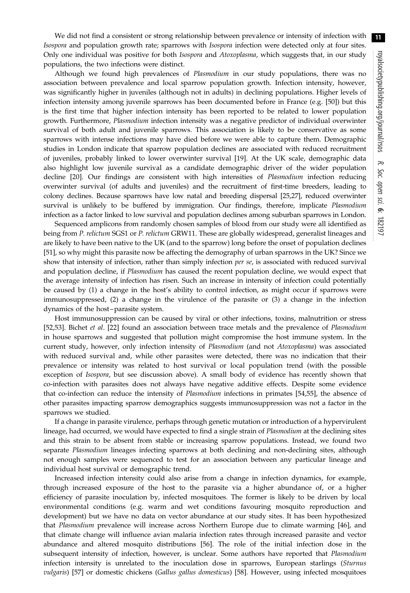We did not find a consistent or strong relationship between prevalence or intensity of infection with Isospora and population growth rate; sparrows with Isospora infection were detected only at four sites. Only one individual was positive for both *Isospora* and *Atoxoplasma*, which suggests that, in our study populations, the two infections were distinct.

Although we found high prevalences of *Plasmodium* in our study populations, there was no association between prevalence and local sparrow population growth. Infection intensity, however, was significantly higher in juveniles (although not in adults) in declining populations. Higher levels of infection intensity among juvenile sparrows has been documented before in France (e.g. [\[50](#page-13-0)]) but this is the first time that higher infection intensity has been reported to be related to lower population growth. Furthermore, Plasmodium infection intensity was a negative predictor of individual overwinter survival of both adult and juvenile sparrows. This association is likely to be conservative as some sparrows with intense infections may have died before we were able to capture them. Demographic studies in London indicate that sparrow population declines are associated with reduced recruitment of juveniles, probably linked to lower overwinter survival [\[19](#page-12-0)]. At the UK scale, demographic data also highlight low juvenile survival as a candidate demographic driver of the wider population decline [\[20](#page-12-0)]. Our findings are consistent with high intensities of Plasmodium infection reducing overwinter survival (of adults and juveniles) and the recruitment of first-time breeders, leading to colony declines. Because sparrows have low natal and breeding dispersal [\[25,27\]](#page-12-0), reduced overwinter survival is unlikely to be buffered by immigration. Our findings, therefore, implicate Plasmodium infection as a factor linked to low survival and population declines among suburban sparrows in London.

Sequenced amplicons from randomly chosen samples of blood from our study were all identified as being from P. relictum SGS1 or P. relictum GRW11. These are globally widespread, generalist lineages and are likely to have been native to the UK (and to the sparrow) long before the onset of population declines [\[51](#page-13-0)], so why might this parasite now be affecting the demography of urban sparrows in the UK? Since we show that intensity of infection, rather than simply infection *per se*, is associated with reduced survival and population decline, if Plasmodium has caused the recent population decline, we would expect that the average intensity of infection has risen. Such an increase in intensity of infection could potentially be caused by (1) a change in the host's ability to control infection, as might occur if sparrows were immunosuppressed, (2) a change in the virulence of the parasite or (3) a change in the infection dynamics of the host –parasite system.

Host immunosuppression can be caused by viral or other infections, toxins, malnutrition or stress [\[52](#page-13-0),[53\]](#page-13-0). Bichet et al. [[22\]](#page-12-0) found an association between trace metals and the prevalence of Plasmodium in house sparrows and suggested that pollution might compromise the host immune system. In the current study, however, only infection intensity of Plasmodium (and not Atoxoplasma) was associated with reduced survival and, while other parasites were detected, there was no indication that their prevalence or intensity was related to host survival or local population trend (with the possible exception of Isospora, but see discussion above). A small body of evidence has recently shown that co-infection with parasites does not always have negative additive effects. Despite some evidence that co-infection can reduce the intensity of Plasmodium infections in primates [\[54,55](#page-13-0)], the absence of other parasites impacting sparrow demographics suggests immunosuppression was not a factor in the sparrows we studied.

If a change in parasite virulence, perhaps through genetic mutation or introduction of a hypervirulent lineage, had occurred, we would have expected to find a single strain of Plasmodium at the declining sites and this strain to be absent from stable or increasing sparrow populations. Instead, we found two separate Plasmodium lineages infecting sparrows at both declining and non-declining sites, although not enough samples were sequenced to test for an association between any particular lineage and individual host survival or demographic trend.

Increased infection intensity could also arise from a change in infection dynamics, for example, through increased exposure of the host to the parasite via a higher abundance of, or a higher efficiency of parasite inoculation by, infected mosquitoes. The former is likely to be driven by local environmental conditions (e.g. warm and wet conditions favouring mosquito reproduction and development) but we have no data on vector abundance at our study sites. It has been hypothesized that Plasmodium prevalence will increase across Northern Europe due to climate warming [\[46](#page-13-0)], and that climate change will influence avian malaria infection rates through increased parasite and vector abundance and altered mosquito distributions [\[56](#page-13-0)]. The role of the initial infection dose in the subsequent intensity of infection, however, is unclear. Some authors have reported that Plasmodium infection intensity is unrelated to the inoculation dose in sparrows, European starlings (Sturnus vulgaris) [[57\]](#page-13-0) or domestic chickens (Gallus gallus domesticus) [[58\]](#page-13-0). However, using infected mosquitoes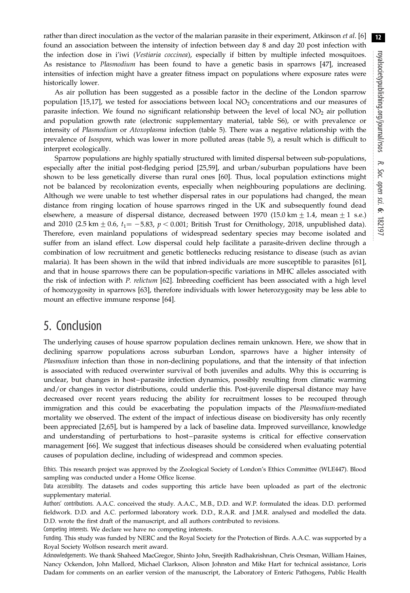rather than direct inoculation as the vector of the malarian parasite in their experiment, Atkinson et al. [\[6\]](#page-12-0) found an association between the intensity of infection between day 8 and day 20 post infection with the infection dose in i'iwi (Vestiaria coccinea), especially if bitten by multiple infected mosquitoes. As resistance to Plasmodium has been found to have a genetic basis in sparrows [\[47](#page-13-0)], increased intensities of infection might have a greater fitness impact on populations where exposure rates were historically lower.

As air pollution has been suggested as a possible factor in the decline of the London sparrow population [\[15,17](#page-12-0)], we tested for associations between local  $NO<sub>2</sub>$  concentrations and our measures of parasite infection. We found no significant relationship between the level of local  $NO<sub>2</sub>$  air pollution and population growth rate (electronic supplementary material, table S6), or with prevalence or intensity of Plasmodium or Atoxoplasma infection [\(table 5\)](#page-9-0). There was a negative relationship with the prevalence of Isospora, which was lower in more polluted areas ([table 5\)](#page-9-0), a result which is difficult to interpret ecologically.

Sparrow populations are highly spatially structured with limited dispersal between sub-populations, especially after the initial post-fledging period [[25,](#page-12-0)[59](#page-13-0)], and urban/suburban populations have been shown to be less genetically diverse than rural ones [\[60](#page-13-0)]. Thus, local population extinctions might not be balanced by recolonization events, especially when neighbouring populations are declining. Although we were unable to test whether dispersal rates in our populations had changed, the mean distance from ringing location of house sparrows ringed in the UK and subsequently found dead elsewhere, a measure of dispersal distance, decreased between 1970 (15.0 km  $\pm$  1.4, mean  $\pm$  1 s.e.) and 2010 (2.5 km  $\pm$  0.6,  $t_1$  = -5.83,  $p$  < 0.001; British Trust for Ornithology, 2018, unpublished data). Therefore, even mainland populations of widespread sedentary species may become isolated and suffer from an island effect. Low dispersal could help facilitate a parasite-driven decline through a combination of low recruitment and genetic bottlenecks reducing resistance to disease (such as avian malaria). It has been shown in the wild that inbred individuals are more susceptible to parasites [\[61](#page-13-0)], and that in house sparrows there can be population-specific variations in MHC alleles associated with the risk of infection with P. relictum [[62\]](#page-13-0). Inbreeding coefficient has been associated with a high level of homozygosity in sparrows [[63\]](#page-13-0), therefore individuals with lower heterozygosity may be less able to mount an effective immune response [\[64](#page-13-0)].

## 5. Conclusion

The underlying causes of house sparrow population declines remain unknown. Here, we show that in declining sparrow populations across suburban London, sparrows have a higher intensity of Plasmodium infection than those in non-declining populations, and that the intensity of that infection is associated with reduced overwinter survival of both juveniles and adults. Why this is occurring is unclear, but changes in host-parasite infection dynamics, possibly resulting from climatic warming and/or changes in vector distributions, could underlie this. Post-juvenile dispersal distance may have decreased over recent years reducing the ability for recruitment losses to be recouped through immigration and this could be exacerbating the population impacts of the Plasmodium-mediated mortality we observed. The extent of the impact of infectious disease on biodiversity has only recently been appreciated [\[2,](#page-12-0)[65\]](#page-13-0), but is hampered by a lack of baseline data. Improved surveillance, knowledge and understanding of perturbations to host-parasite systems is critical for effective conservation management [\[66](#page-13-0)]. We suggest that infectious diseases should be considered when evaluating potential causes of population decline, including of widespread and common species.

Ethics. This research project was approved by the Zoological Society of London's Ethics Committee (WLE447). Blood sampling was conducted under a Home Office license.

Data accessibility. The datasets and codes supporting this article have been uploaded as part of the electronic supplementary material.

Authors' contributions. A.A.C. conceived the study. A.A.C., M.B., D.D. and W.P. formulated the ideas. D.D. performed fieldwork. D.D. and A.C. performed laboratory work. D.D., R.A.R. and J.M.R. analysed and modelled the data. D.D. wrote the first draft of the manuscript, and all authors contributed to revisions.

Competing interests. We declare we have no competing interests.

Funding. This study was funded by NERC and the Royal Society for the Protection of Birds. A.A.C. was supported by a Royal Society Wolfson research merit award.

Acknowledgements. We thank Shaheed MacGregor, Shinto John, Sreejith Radhakrishnan, Chris Orsman, William Haines, Nancy Ockendon, John Mallord, Michael Clarkson, Alison Johnston and Mike Hart for technical assistance, Loris Dadam for comments on an earlier version of the manuscript, the Laboratory of Enteric Pathogens, Public Health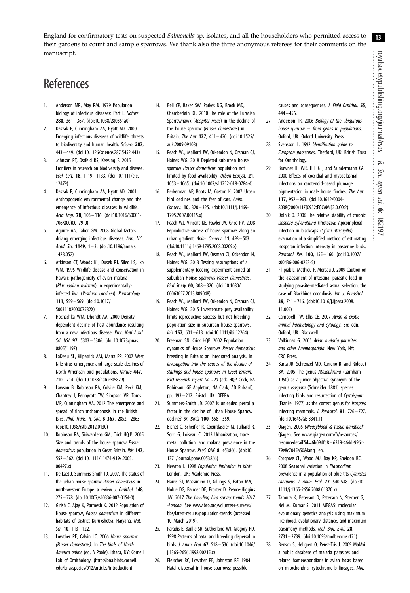13

<span id="page-12-0"></span>England for confirmatory tests on suspected Salmonella sp. isolates, and all the householders who permitted access to their gardens to count and sample sparrows. We thank also the three anonymous referees for their comments on the manuscript.

# References

- 1. Anderson MR, May RM. 1979 Population biology of infectious diseases: Part I. Nature 280, 361– 367. [\(doi:10.1038/280361a0\)](http://dx.doi.org/10.1038/280361a0)
- 2. Daszak P, Cunningham AA, Hyatt AD. 2000 Emerging infectious diseases of wildlife: threats to biodiversity and human health. Science 287, 443– 449. ([doi:10.1126/science.287.5452.443](http://dx.doi.org/10.1126/science.287.5452.443))
- 3. Johnson PT, Ostfeld RS, Keesing F. 2015 Frontiers in research on biodiversity and disease. Ecol. Lett. 18, 1119 – 1133. ([doi:10.1111/ele.](http://dx.doi.org/10.1111/ele.12479) [12479](http://dx.doi.org/10.1111/ele.12479))
- 4. Daszak P, Cunningham AA, Hyatt AD. 2001 Anthropogenic environmental change and the emergence of infectious diseases in wildlife. Acta Trop. 78, 103-116. [\(doi:10.1016/S0001-](http://dx.doi.org/10.1016/S0001-706X(00)00179-0) [706X\(00\)00179-0\)](http://dx.doi.org/10.1016/S0001-706X(00)00179-0)
- 5. Aguirre AA, Tabor GM. 2008 Global factors driving emerging infectious diseases. Ann. NY Acad. Sci. 1149, 1-3. ([doi:10.1196/annals.](http://dx.doi.org/10.1196/annals.1428.052) [1428.052](http://dx.doi.org/10.1196/annals.1428.052))
- 6. Atkinson CT, Woods KL, Dusek RJ, Sileo LS, Iko WM. 1995 Wildlife disease and conservation in Hawaii: pathogenicity of avian malaria (Plasmodium relictum) in experimentallyinfected iiwi (Vestiaria coccinea). Parasitology 111, S59 – S69. ([doi:10.1017/](http://dx.doi.org/10.1017/S003118200007582X) [S003118200007582X\)](http://dx.doi.org/10.1017/S003118200007582X)
- 7. Hochachka WM, Dhondt AA. 2000 Densitydependent decline of host abundance resulting from a new infectious disease. Proc. Natl Acad. Sci. USA **97**, 5303-5306. [\(doi:10.1073/pnas.](http://dx.doi.org/10.1073/pnas.080551197) [080551197](http://dx.doi.org/10.1073/pnas.080551197))
- 8. LaDeau SL, Kilpatrick AM, Marra PP. 2007 West Nile virus emergence and large-scale declines of North American bird populations. Nature 447, 710– 714. ([doi:10.1038/nature05829\)](http://dx.doi.org/10.1038/nature05829)
- 9. Lawson B, Robinson RA, Colvile KM, Peck KM, Chantrey J, Pennycott TW, Simpson VR, Toms MP, Cunningham AA. 2012 The emergence and spread of finch trichomonosis in the British Isles. Phil. Trans. R. Soc. B 367, 2852 – 2863. ([doi:10.1098/rstb.2012.0130\)](http://dx.doi.org/10.1098/rstb.2012.0130)
- 10. Robinson RA, Siriwardena GM, Crick HQ.P. 2005 Size and trends of the house sparrow Passer domesticus population in Great Britain. Ibis 147, 552– 562. ([doi:10.1111/j.1474-919x.2005.](http://dx.doi.org/10.1111/j.1474-919x.2005.00427.x) [00427.x](http://dx.doi.org/10.1111/j.1474-919x.2005.00427.x))
- 11. De Laet J, Summers-Smith JD, 2007. The status of the urban house sparrow Passer domesticus in north-western Europe: a review. J. Ornithol. 148, 275–278. [\(doi:10.1007/s10336-007-0154-0](http://dx.doi.org/10.1007/s10336-007-0154-0))
- 12. Girish C, Ajay K, Parmesh K. 2012 Population of House sparrow, Passer domesticus in different habitats of District Kurukshetra, Haryana. Nat. Sci. 10, 113– 122.
- 13. Lowther PE, Calvin LC. 2006 House sparrow (Passer domesticus). In The birds of North America online (ed. A Poole). Ithaca, NY: Cornell Lab of Ornithology. [\(http://bna.birds.cornell.](http://bna.birds.cornell.edu/bna/species/012/articles/introduction) [edu/bna/species/012/articles/introduction\)](http://bna.birds.cornell.edu/bna/species/012/articles/introduction)
- 14. Bell CP, Baker SW, Parkes NG, Brook MD, Chamberlain DE. 2010 The role of the Eurasian Sparrowhawk (Accipiter nisus) in the decline of the house sparrow (Passer domesticus) in Britain. The Auk 127, 411– 420. [\(doi:10.1525/](http://dx.doi.org/10.1525/auk.2009.09108) [auk.2009.09108](http://dx.doi.org/10.1525/auk.2009.09108))
- 15. Peach WJ, Mallord JW, Ockendon N, Orsman CJ, Haines WG. 2018 Depleted suburban house sparrow Passer domesticus population not limited by food availability. Urban Ecosyst. 21, 1053 – 1065. [\(doi:10.1007/s11252-018-0784-4](http://dx.doi.org/10.1007/s11252-018-0784-4))
- 16. Beckerman AP, Boots M, Gaston K. 2007 Urban bird declines and the fear of cats. Anim. Conserv. 10, 320– 325. ([doi:10.1111/j.1469-](http://dx.doi.org/10.1111/j.1469-1795.2007.00115.x) [1795.2007.00115.x](http://dx.doi.org/10.1111/j.1469-1795.2007.00115.x))
- 17. Peach WJ, Vincent KE, Fowler JA, Grice PV. 2008 Reproductive success of house sparrows along an urban gradient. Anim. Conserv. 11, 493-503. ([doi:10.1111/j.1469-1795.2008.00209.x\)](http://dx.doi.org/10.1111/j.1469-1795.2008.00209.x)
- 18. Peach WJ, Mallord JW, Orsman CJ, Ockendon N, Haines WG. 2013 Testing assumptions of a supplementary feeding experiment aimed at suburban House Sparrows Passer domesticus. Bird Study 60, 308– 320. ([doi:10.1080/](http://dx.doi.org/10.1080/00063657.2013.809048) [00063657.2013.809048](http://dx.doi.org/10.1080/00063657.2013.809048))
- 19. Peach WJ, Mallord JW, Ockendon N, Orsman CJ, Haines WG. 2015 Invertebrate prey availability limits reproductive success but not breeding population size in suburban house sparrows. Ibis 157, 601 – 613. [\(doi:10.1111/ibi.12264](http://dx.doi.org/10.1111/ibi.12264))
- 20. Freeman SN, Crick HQP. 2002 Population dynamics of House Sparrows Passer domesticus breeding in Britain: an integrated analysis. In Investigation into the causes of the decline of starlings and house sparrows in Great Britain. BTO research report No 290 (eds HQP Crick, RA Robinson, GF Appleton, NA Clark, AD Rickard), pp. 193– 212. Bristol, UK: DEFRA.
- 21. Summers-Smith JD. 2007 Is unleaded petrol a factor in the decline of urban House Sparrow decline? Br. Birds 100, 558– 559.
- 22. Bichet C, Scheifler R, Coeurdassier M, Julliard R, Sorci G, Loiseau C. 2013 Urbanization, trace metal pollution, and malaria prevalence in the House Sparrow. PLoS ONE 8, e53866. ([doi:10.](http://dx.doi.org/10.1371/journal.pone.0053866) [1371/journal.pone.0053866](http://dx.doi.org/10.1371/journal.pone.0053866))
- 23. Newton I. 1998 Population limitation in birds. London, UK: Academic Press.
- 24. Harris SJ, Massimino D, Gillings S, Eaton MA, Noble DG, Balmer DE, Procter D, Pearce-Higgins JW. 2017 The breeding bird survey trends 2017 -London. See [www.bto.org/volunteer-surveys/](http://www.bto.org/volunteer-surveys/bbs/latest-results/population-trends) [bbs/latest-results/population-trends](http://www.bto.org/volunteer-surveys/bbs/latest-results/population-trends) (accessed 10 March 2019).
- 25. Paradis E, Baillie SR, Sutherland WJ, Gregory RD. 1998 Patterns of natal and breeding dispersal in birds. J. Anim. Ecol. 67, 518 – 536. ([doi:10.1046/](http://dx.doi.org/10.1046/j.1365-2656.1998.00215.x) [j.1365-2656.1998.00215.x](http://dx.doi.org/10.1046/j.1365-2656.1998.00215.x))
- 26. Fleischer RC, Lowther PE, Johnston RF. 1984 Natal dispersal in house sparrows: possible

causes and consequences. J. Field Ornithol. 55, 444– 456.

- 27. Anderson TR. 2006 Biology of the ubiquitous house sparrow  $-$  from genes to populations. Oxford, UK: Oxford University Press.
- 28. Svensson L. 1992 Identification guide to European passerines. Thetford, UK: British Trust for Ornithology.
- 29. Brawner III WR, Hill GE, and Sundermann CA. 2000 Effects of coccidial and mycoplasmal infections on carotenoid-based plumage pigmentation in male house finches. The Auk 117, 952– 963. ([doi:10.1642/0004-](http://dx.doi.org/10.1642/0004-8038(2000)117[0952:EOCAMI]2.0.CO;2) [8038\(2000\)117\[0952:EOCAMI\]2.0.CO;2\)](http://dx.doi.org/10.1642/0004-8038(2000)117[0952:EOCAMI]2.0.CO;2)
- 30. Dolnik O. 2006 The relative stability of chronic Isospora sylvinathina (Protozoa: Apicomplexa) infection in blackcaps (Sylvia atricapilla): evaluation of a simplified method of estimating isosporan infection intensity in passerine birds. Parasitol. Res. 100, 155– 160. [\(doi:10.1007/](http://dx.doi.org/10.1007/s00436-006-0253-5) [s00436-006-0253-5](http://dx.doi.org/10.1007/s00436-006-0253-5))
- 31. Filipiak L, Mathieu F, Moreau J. 2009 Caution on the assessment of intestinal parasitic load in studying parasite-mediated sexual selection: the case of Blackbirds coccidiosis. Int. J. Parasitol. 39, 741– 746. ([doi:10.1016/j.ijpara.2008.](http://dx.doi.org/10.1016/j.ijpara.2008.11.005) [11.005](http://dx.doi.org/10.1016/j.ijpara.2008.11.005))
- 32. Campbell TW, Ellis CE. 2007 Avian & exotic animal haematology and cytology, 3rd edn. Oxford, UK: Blackwell.
- 33. Valkiūnas G. 2005 Avian malaria parasites and other haemosporidia. New York, NY: CRC Press.
- 34. Barta JR, Schrenzel MD, Carreno R, and Rideout BA. 2005 The genus Atoxoplasma (Garnham 1950) as a junior objective synonym of the genus Isospora (Schneider 1881) species infecting birds and resurrection of Cystoispora (Frankel 1977) as the correct genus for Isospora infecting mammals. J. Parasitol. 91, 726– 727. [\(doi:10.1645/GE-3341.1\)](http://dx.doi.org/10.1645/GE-3341.1)
- 35. Qiagen. 2006 DNeasyblood & tissue handbook. Qiagen. See [www.qiagen.com/fr/resources/](http://www.qiagen.com/fr/resources/resourcedetail?id=6b09dfb8–6319-464d-996c-79e8c7045a50&lang=en) [resourcedetail?id=6b09dfb8 – 6319-464d-996c-](http://www.qiagen.com/fr/resources/resourcedetail?id=6b09dfb8–6319-464d-996c-79e8c7045a50&lang=en)[79e8c7045a50&lang=en](http://www.qiagen.com/fr/resources/resourcedetail?id=6b09dfb8–6319-464d-996c-79e8c7045a50&lang=en).
- 36. Cosgrove CL, Wood MJ, Day KP, Sheldon BC. 2008 Seasonal variation in Plasmodium prevalence in a population of blue tits Cyanistes caeruleus. J. Anim. Ecol. 77, 540-548. [\(doi:10.](http://dx.doi.org/10.1111/j.1365-2656.2008.01370.x) [1111/j.1365-2656.2008.01370.x](http://dx.doi.org/10.1111/j.1365-2656.2008.01370.x))
- 37. Tamura K, Peterson D, Peterson N, Stecher G, Nei M, Kumar S. 2011 MEGA5: molecular evolutionary genetics analysis using maximum likelihood, evolutionary distance, and maximum parsimony methods. Mol. Biol. Evol. 28, 2731 – 2739. [\(doi:10.1093/molbev/msr121](http://dx.doi.org/10.1093/molbev/msr121))
- 38. Bensch S, Hellgren O, Perez-Tris J. 2009 MalAvi: a public database of malaria parasites and related hameosporidians in avian hosts based on mitochondrial cytochrome b lineages. Mol.